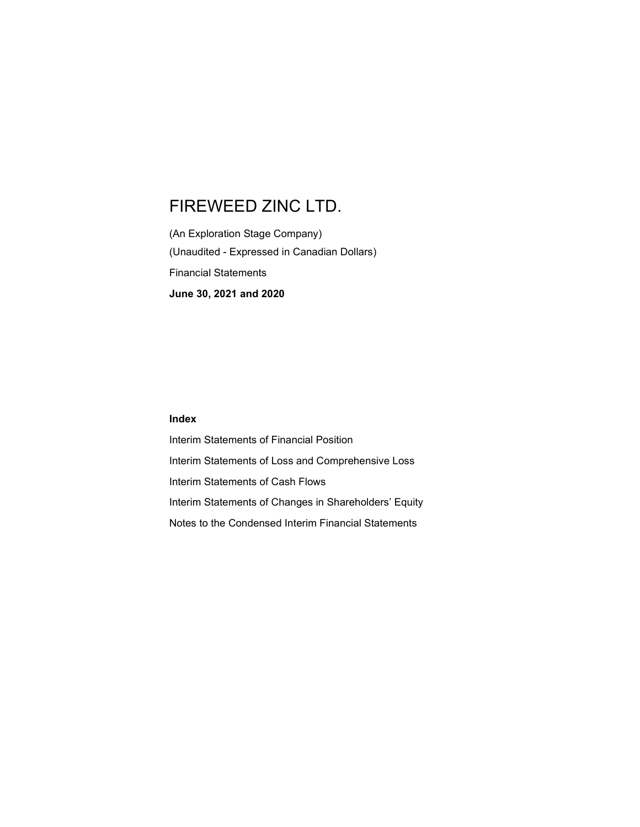(An Exploration Stage Company) (Unaudited - Expressed in Canadian Dollars) Financial Statements June 30, 2021 and 2020

#### Index

Interim Statements of Financial Position Interim Statements of Loss and Comprehensive Loss Interim Statements of Cash Flows Interim Statements of Changes in Shareholders' Equity Notes to the Condensed Interim Financial Statements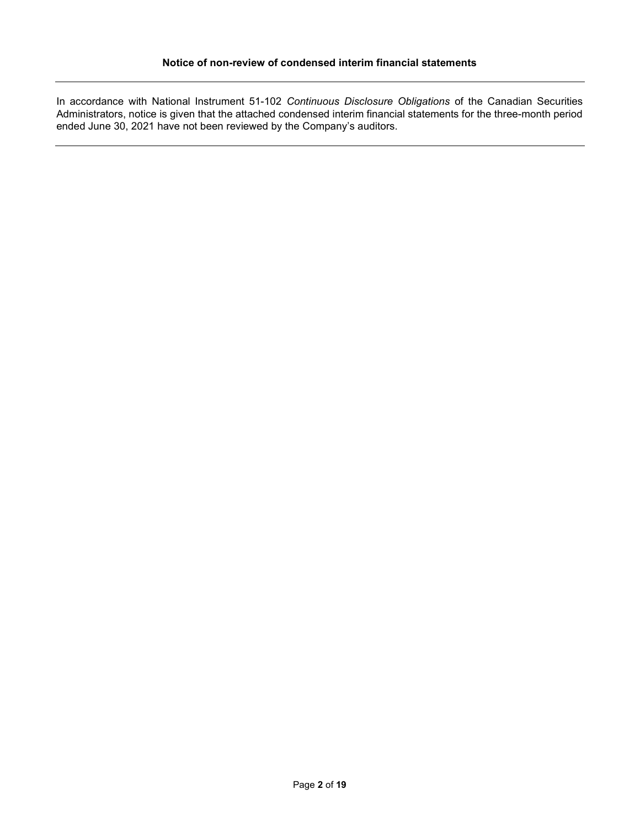In accordance with National Instrument 51-102 Continuous Disclosure Obligations of the Canadian Securities Administrators, notice is given that the attached condensed interim financial statements for the three-month period ended June 30, 2021 have not been reviewed by the Company's auditors.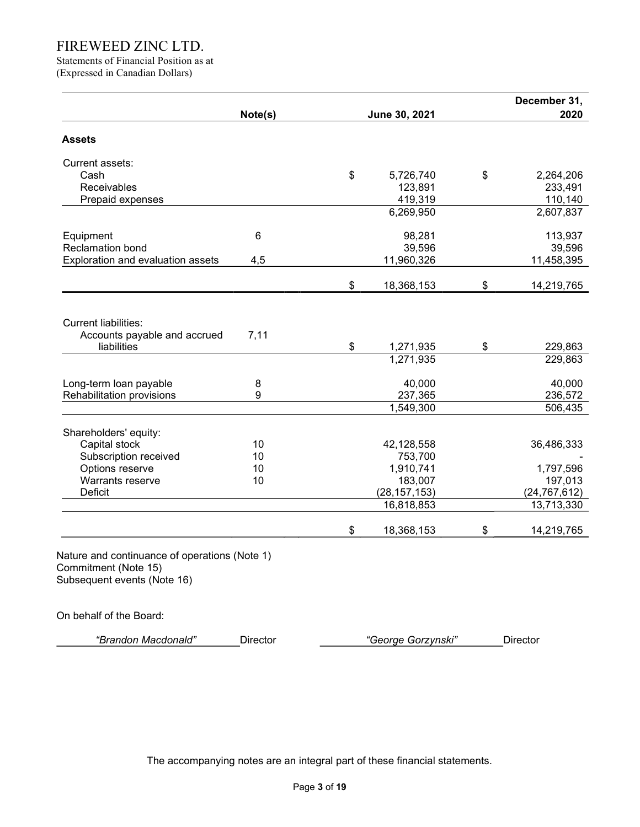Statements of Financial Position as at (Expressed in Canadian Dollars)

| \$<br>\$ | June 30, 2021<br>5,726,740<br>123,891<br>419,319<br>6,269,950<br>98,281<br>39,596<br>11,960,326 | \$                                                                                    | 2020<br>2,264,206<br>233,491<br>110,140<br>2,607,837<br>113,937 |
|----------|-------------------------------------------------------------------------------------------------|---------------------------------------------------------------------------------------|-----------------------------------------------------------------|
|          |                                                                                                 |                                                                                       |                                                                 |
|          |                                                                                                 |                                                                                       |                                                                 |
|          |                                                                                                 |                                                                                       |                                                                 |
|          |                                                                                                 |                                                                                       |                                                                 |
|          |                                                                                                 |                                                                                       |                                                                 |
|          |                                                                                                 |                                                                                       |                                                                 |
|          |                                                                                                 |                                                                                       |                                                                 |
|          |                                                                                                 |                                                                                       |                                                                 |
|          |                                                                                                 |                                                                                       | 39,596                                                          |
|          |                                                                                                 |                                                                                       | 11,458,395                                                      |
|          | 18,368,153                                                                                      | \$                                                                                    | 14,219,765                                                      |
| \$       | 1,271,935                                                                                       | \$                                                                                    | 229,863<br>229,863                                              |
|          |                                                                                                 |                                                                                       |                                                                 |
|          |                                                                                                 |                                                                                       | 40,000                                                          |
|          |                                                                                                 |                                                                                       | 236,572                                                         |
|          |                                                                                                 |                                                                                       | 506,435                                                         |
|          |                                                                                                 |                                                                                       |                                                                 |
|          | 42,128,558                                                                                      |                                                                                       | 36,486,333                                                      |
|          | 753,700                                                                                         |                                                                                       |                                                                 |
|          |                                                                                                 |                                                                                       | 1,797,596                                                       |
|          |                                                                                                 |                                                                                       | 197,013                                                         |
|          |                                                                                                 |                                                                                       | (24, 767, 612)                                                  |
|          | 16,818,853                                                                                      |                                                                                       | 13,713,330                                                      |
| \$       | 18,368,153                                                                                      | \$                                                                                    | 14,219,765                                                      |
|          |                                                                                                 | 1,271,935<br>40,000<br>237,365<br>1,549,300<br>1,910,741<br>183,007<br>(28, 157, 153) |                                                                 |

On behalf of the Board:

| "Brandon Macdonald"<br>Georae Gorzynski"<br>Jirector |  |
|------------------------------------------------------|--|
|------------------------------------------------------|--|

The accompanying notes are an integral part of these financial statements.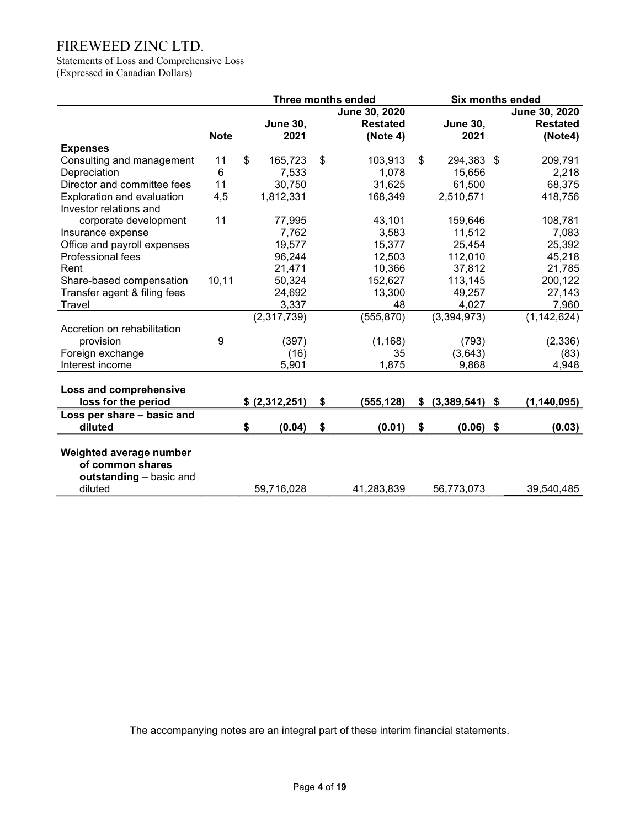Statements of Loss and Comprehensive Loss (Expressed in Canadian Dollars)

|                              |             | <b>Three months ended</b> |                 |    | <b>Six months ended</b> |    |                  |    |                 |  |  |
|------------------------------|-------------|---------------------------|-----------------|----|-------------------------|----|------------------|----|-----------------|--|--|
|                              |             |                           |                 |    | June 30, 2020           |    |                  |    | June 30, 2020   |  |  |
|                              |             |                           | <b>June 30,</b> |    | <b>Restated</b>         |    | <b>June 30,</b>  |    | <b>Restated</b> |  |  |
|                              | <b>Note</b> |                           | 2021            |    | (Note 4)                |    | 2021             |    | (Note4)         |  |  |
| <b>Expenses</b>              |             |                           |                 |    |                         |    |                  |    |                 |  |  |
| Consulting and management    | 11          | \$                        | 165,723         | \$ | 103,913                 | \$ | 294,383          | \$ | 209,791         |  |  |
| Depreciation                 | 6           |                           | 7,533           |    | 1,078                   |    | 15,656           |    | 2,218           |  |  |
| Director and committee fees  | 11          |                           | 30,750          |    | 31,625                  |    | 61,500           |    | 68,375          |  |  |
| Exploration and evaluation   | 4,5         |                           | 1,812,331       |    | 168,349                 |    | 2,510,571        |    | 418,756         |  |  |
| Investor relations and       |             |                           |                 |    |                         |    |                  |    |                 |  |  |
| corporate development        | 11          |                           | 77,995          |    | 43,101                  |    | 159,646          |    | 108,781         |  |  |
| Insurance expense            |             |                           | 7,762           |    | 3,583                   |    | 11,512           |    | 7,083           |  |  |
| Office and payroll expenses  |             |                           | 19,577          |    | 15,377                  |    | 25,454           |    | 25,392          |  |  |
| Professional fees            |             |                           | 96,244          |    | 12,503                  |    | 112,010          |    | 45,218          |  |  |
| Rent                         |             |                           | 21,471          |    | 10,366                  |    | 37,812           |    | 21,785          |  |  |
| Share-based compensation     | 10, 11      |                           | 50,324          |    | 152,627                 |    | 113,145          |    | 200,122         |  |  |
| Transfer agent & filing fees |             |                           | 24,692          |    | 13,300                  |    | 49,257           |    | 27,143          |  |  |
| Travel                       |             |                           | 3,337           |    | 48                      |    | 4,027            |    | 7,960           |  |  |
|                              |             |                           | (2,317,739)     |    | (555, 870)              |    | (3,394,973)      |    | (1, 142, 624)   |  |  |
| Accretion on rehabilitation  |             |                           |                 |    |                         |    |                  |    |                 |  |  |
| provision                    | 9           |                           | (397)           |    | (1, 168)                |    | (793)            |    | (2,336)         |  |  |
| Foreign exchange             |             |                           | (16)            |    | 35                      |    | (3,643)          |    | (83)            |  |  |
| Interest income              |             |                           | 5,901           |    | 1,875                   |    | 9,868            |    | 4,948           |  |  |
|                              |             |                           |                 |    |                         |    |                  |    |                 |  |  |
| Loss and comprehensive       |             |                           |                 |    |                         |    |                  |    |                 |  |  |
| loss for the period          |             |                           | \$ (2,312,251)  | \$ | (555, 128)              | \$ | $(3,389,541)$ \$ |    | (1, 140, 095)   |  |  |
| Loss per share - basic and   |             |                           |                 |    |                         |    |                  |    |                 |  |  |
| diluted                      |             | \$                        | (0.04)          | \$ | (0.01)                  | \$ | (0.06)           | \$ | (0.03)          |  |  |
|                              |             |                           |                 |    |                         |    |                  |    |                 |  |  |
| Weighted average number      |             |                           |                 |    |                         |    |                  |    |                 |  |  |
| of common shares             |             |                           |                 |    |                         |    |                  |    |                 |  |  |
| outstanding - basic and      |             |                           |                 |    |                         |    |                  |    |                 |  |  |
| diluted                      |             |                           | 59,716,028      |    | 41,283,839              |    | 56,773,073       |    | 39,540,485      |  |  |

The accompanying notes are an integral part of these interim financial statements.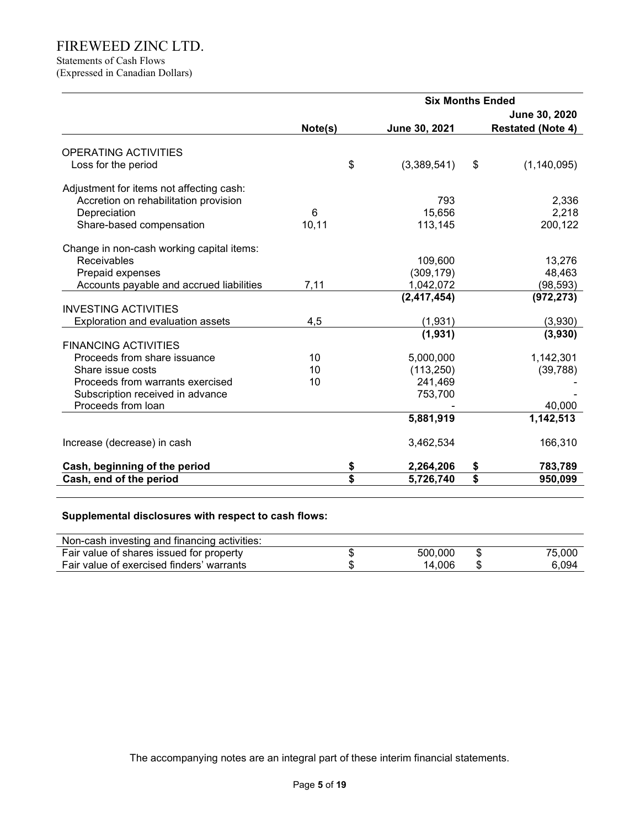# Statements of Cash Flows

(Expressed in Canadian Dollars)

|                                           | <b>Six Months Ended</b> |    |               |    |                          |  |  |
|-------------------------------------------|-------------------------|----|---------------|----|--------------------------|--|--|
|                                           |                         |    |               |    | June 30, 2020            |  |  |
|                                           | Note(s)                 |    | June 30, 2021 |    | <b>Restated (Note 4)</b> |  |  |
| OPERATING ACTIVITIES                      |                         |    |               |    |                          |  |  |
| Loss for the period                       |                         | \$ | (3,389,541)   | \$ | (1, 140, 095)            |  |  |
|                                           |                         |    |               |    |                          |  |  |
| Adjustment for items not affecting cash:  |                         |    |               |    |                          |  |  |
| Accretion on rehabilitation provision     |                         |    | 793           |    | 2,336                    |  |  |
| Depreciation                              | 6                       |    | 15,656        |    | 2,218                    |  |  |
| Share-based compensation                  | 10, 11                  |    | 113,145       |    | 200,122                  |  |  |
| Change in non-cash working capital items: |                         |    |               |    |                          |  |  |
| <b>Receivables</b>                        |                         |    | 109,600       |    | 13,276                   |  |  |
| Prepaid expenses                          |                         |    | (309, 179)    |    | 48,463                   |  |  |
| Accounts payable and accrued liabilities  | 7,11                    |    | 1,042,072     |    | (98, 593)                |  |  |
|                                           |                         |    | (2, 417, 454) |    | (972, 273)               |  |  |
| <b>INVESTING ACTIVITIES</b>               |                         |    |               |    |                          |  |  |
| Exploration and evaluation assets         | 4,5                     |    | (1,931)       |    | (3,930)                  |  |  |
|                                           |                         |    | (1,931)       |    | (3,930)                  |  |  |
| <b>FINANCING ACTIVITIES</b>               |                         |    |               |    |                          |  |  |
| Proceeds from share issuance              | 10                      |    | 5,000,000     |    | 1,142,301                |  |  |
| Share issue costs                         | 10                      |    | (113, 250)    |    | (39, 788)                |  |  |
| Proceeds from warrants exercised          | 10                      |    | 241,469       |    |                          |  |  |
| Subscription received in advance          |                         |    | 753,700       |    |                          |  |  |
| Proceeds from loan                        |                         |    |               |    | 40,000                   |  |  |
|                                           |                         |    | 5,881,919     |    | 1,142,513                |  |  |
|                                           |                         |    |               |    |                          |  |  |
| Increase (decrease) in cash               |                         |    | 3,462,534     |    | 166,310                  |  |  |
| Cash, beginning of the period             |                         | \$ | 2,264,206     | \$ | 783,789                  |  |  |
| Cash, end of the period                   |                         | \$ | 5,726,740     | \$ | 950,099                  |  |  |

# Supplemental disclosures with respect to cash flows:

| Non-cash investing and financing activities: |         |    |        |
|----------------------------------------------|---------|----|--------|
| Fair value of shares issued for property     | 500,000 | S  | 75.000 |
| Fair value of exercised finders' warrants    | 14.006  | \$ | 6.094  |

The accompanying notes are an integral part of these interim financial statements.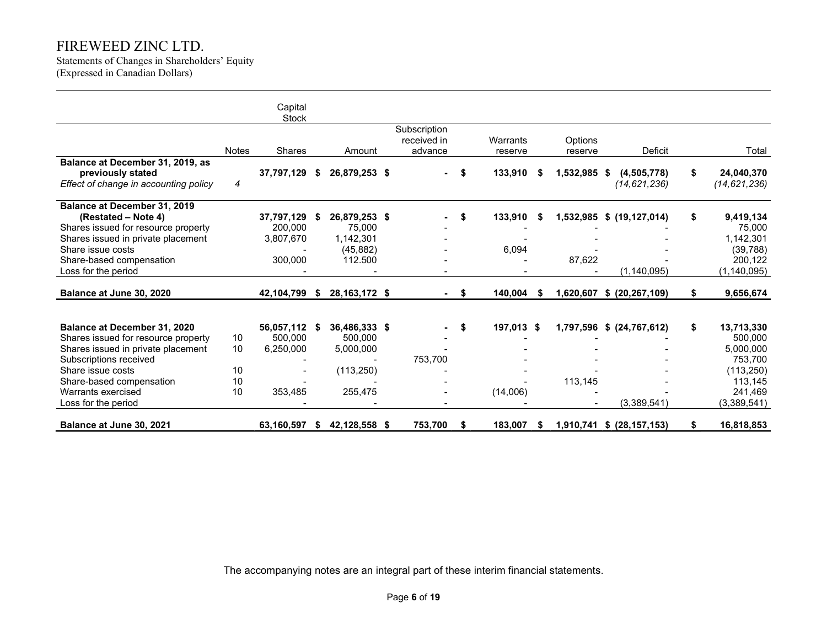Statements of Changes in Shareholders' Equity (Expressed in Canadian Dollars)

|                                                                                                                                                                                                                                   |                            | Capital<br><b>Stock</b>                       |     |                                                                |                                        |     |                        |      |                      |                                            |    |                                                                                                  |
|-----------------------------------------------------------------------------------------------------------------------------------------------------------------------------------------------------------------------------------|----------------------------|-----------------------------------------------|-----|----------------------------------------------------------------|----------------------------------------|-----|------------------------|------|----------------------|--------------------------------------------|----|--------------------------------------------------------------------------------------------------|
|                                                                                                                                                                                                                                   | <b>Notes</b>               | <b>Shares</b>                                 |     | Amount                                                         | Subscription<br>received in<br>advance |     | Warrants<br>reserve    |      | Options<br>reserve   | <b>Deficit</b>                             |    | Total                                                                                            |
| Balance at December 31, 2019, as<br>previously stated<br>Effect of change in accounting policy                                                                                                                                    | 4                          | 37,797,129                                    | S   | 26,879,253 \$                                                  |                                        | \$  | 133,910                | -5   | 1,532,985 \$         | (4,505,778)<br>(14, 621, 236)              | \$ | 24,040,370<br>(14, 621, 236)                                                                     |
| Balance at December 31, 2019<br>(Restated – Note 4)<br>Shares issued for resource property<br>Shares issued in private placement<br>Share issue costs<br>Share-based compensation<br>Loss for the period                          |                            | 37,797,129<br>200.000<br>3,807,670<br>300,000 | Ъ   | 26,879,253 \$<br>75,000<br>1,142,301<br>(45, 882)<br>112.500   |                                        | \$  | 133,910<br>6,094       | - \$ | 87,622               | 1,532,985 \$ (19,127,014)<br>(1, 140, 095) | \$ | 9,419,134<br>75,000<br>1,142,301<br>(39, 788)<br>200,122<br>(1, 140, 095)                        |
| Balance at June 30, 2020                                                                                                                                                                                                          |                            | 42,104,799                                    | - 5 | 28, 163, 172 \$                                                |                                        | -\$ | 140,004                | - 56 |                      | 1,620,607 \$ (20,267,109)                  | S  | 9,656,674                                                                                        |
| Balance at December 31, 2020<br>Shares issued for resource property<br>Shares issued in private placement<br>Subscriptions received<br>Share issue costs<br>Share-based compensation<br>Warrants exercised<br>Loss for the period | 10<br>10<br>10<br>10<br>10 | 56,057,112<br>500.000<br>6,250,000<br>353,485 |     | 36,486,333 \$<br>500,000<br>5,000,000<br>(113, 250)<br>255,475 | 753,700                                | \$  | 197,013 \$<br>(14,006) |      | 1,797,596<br>113,145 | \$ (24, 767, 612)<br>(3,389,541)           | \$ | 13,713,330<br>500,000<br>5,000,000<br>753,700<br>(113, 250)<br>113,145<br>241,469<br>(3,389,541) |
| Balance at June 30, 2021                                                                                                                                                                                                          |                            | 63,160,597                                    | S   | 42,128,558 \$                                                  | 753,700                                | S   | 183,007                | S    |                      | 1,910,741 \$ (28,157,153)                  |    | 16,818,853                                                                                       |

The accompanying notes are an integral part of these interim financial statements.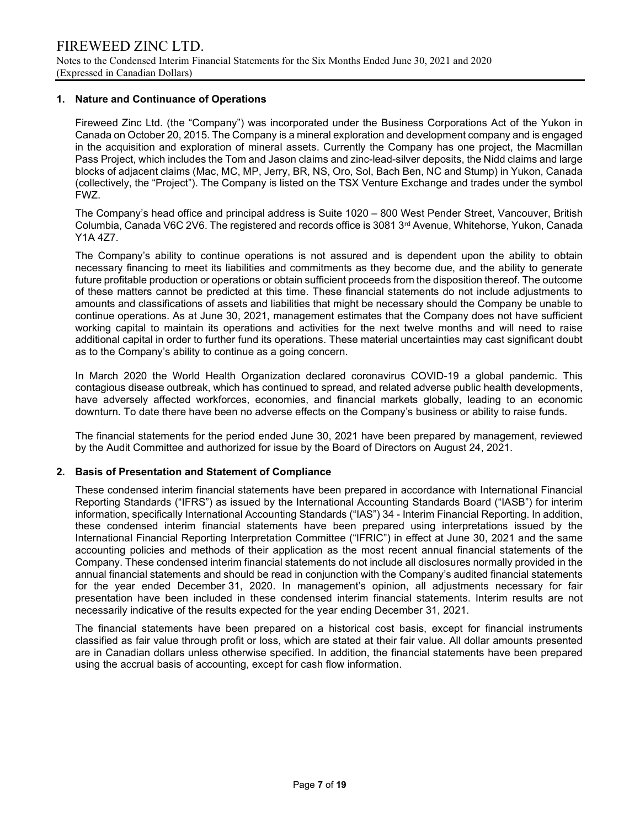### 1. Nature and Continuance of Operations

Fireweed Zinc Ltd. (the "Company") was incorporated under the Business Corporations Act of the Yukon in Canada on October 20, 2015. The Company is a mineral exploration and development company and is engaged in the acquisition and exploration of mineral assets. Currently the Company has one project, the Macmillan Pass Project, which includes the Tom and Jason claims and zinc-lead-silver deposits, the Nidd claims and large blocks of adjacent claims (Mac, MC, MP, Jerry, BR, NS, Oro, Sol, Bach Ben, NC and Stump) in Yukon, Canada (collectively, the "Project"). The Company is listed on the TSX Venture Exchange and trades under the symbol FWZ.

The Company's head office and principal address is Suite 1020 – 800 West Pender Street, Vancouver, British Columbia, Canada V6C 2V6. The registered and records office is 3081 3rd Avenue, Whitehorse, Yukon, Canada Y1A 4Z7.

The Company's ability to continue operations is not assured and is dependent upon the ability to obtain necessary financing to meet its liabilities and commitments as they become due, and the ability to generate future profitable production or operations or obtain sufficient proceeds from the disposition thereof. The outcome of these matters cannot be predicted at this time. These financial statements do not include adjustments to amounts and classifications of assets and liabilities that might be necessary should the Company be unable to continue operations. As at June 30, 2021, management estimates that the Company does not have sufficient working capital to maintain its operations and activities for the next twelve months and will need to raise additional capital in order to further fund its operations. These material uncertainties may cast significant doubt as to the Company's ability to continue as a going concern.

In March 2020 the World Health Organization declared coronavirus COVID-19 a global pandemic. This contagious disease outbreak, which has continued to spread, and related adverse public health developments, have adversely affected workforces, economies, and financial markets globally, leading to an economic downturn. To date there have been no adverse effects on the Company's business or ability to raise funds.

The financial statements for the period ended June 30, 2021 have been prepared by management, reviewed by the Audit Committee and authorized for issue by the Board of Directors on August 24, 2021.

### 2. Basis of Presentation and Statement of Compliance

These condensed interim financial statements have been prepared in accordance with International Financial Reporting Standards ("IFRS") as issued by the International Accounting Standards Board ("IASB") for interim information, specifically International Accounting Standards ("IAS") 34 - Interim Financial Reporting. In addition, these condensed interim financial statements have been prepared using interpretations issued by the International Financial Reporting Interpretation Committee ("IFRIC") in effect at June 30, 2021 and the same accounting policies and methods of their application as the most recent annual financial statements of the Company. These condensed interim financial statements do not include all disclosures normally provided in the annual financial statements and should be read in conjunction with the Company's audited financial statements for the year ended December 31, 2020. In management's opinion, all adjustments necessary for fair presentation have been included in these condensed interim financial statements. Interim results are not necessarily indicative of the results expected for the year ending December 31, 2021.

The financial statements have been prepared on a historical cost basis, except for financial instruments classified as fair value through profit or loss, which are stated at their fair value. All dollar amounts presented are in Canadian dollars unless otherwise specified. In addition, the financial statements have been prepared using the accrual basis of accounting, except for cash flow information.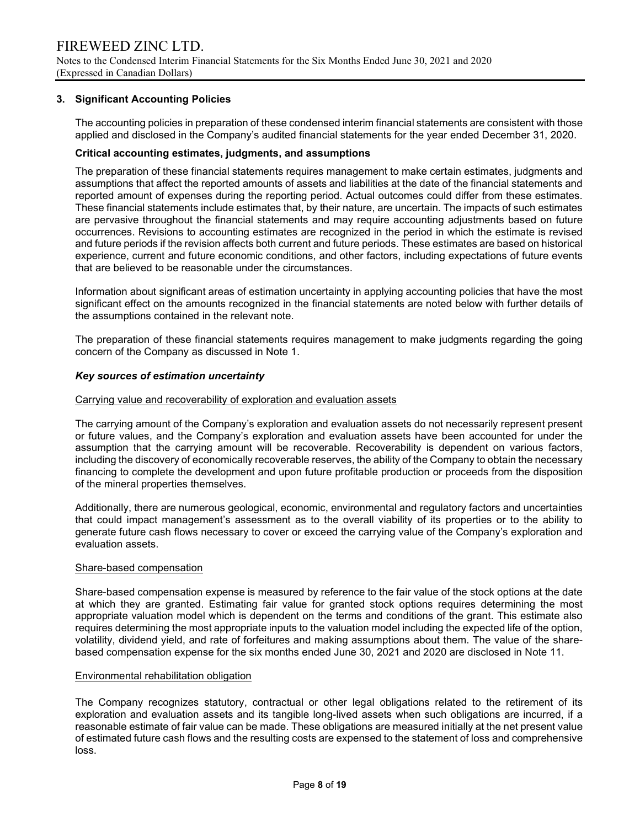### 3. Significant Accounting Policies

The accounting policies in preparation of these condensed interim financial statements are consistent with those applied and disclosed in the Company's audited financial statements for the year ended December 31, 2020.

### Critical accounting estimates, judgments, and assumptions

The preparation of these financial statements requires management to make certain estimates, judgments and assumptions that affect the reported amounts of assets and liabilities at the date of the financial statements and reported amount of expenses during the reporting period. Actual outcomes could differ from these estimates. These financial statements include estimates that, by their nature, are uncertain. The impacts of such estimates are pervasive throughout the financial statements and may require accounting adjustments based on future occurrences. Revisions to accounting estimates are recognized in the period in which the estimate is revised and future periods if the revision affects both current and future periods. These estimates are based on historical experience, current and future economic conditions, and other factors, including expectations of future events that are believed to be reasonable under the circumstances.

Information about significant areas of estimation uncertainty in applying accounting policies that have the most significant effect on the amounts recognized in the financial statements are noted below with further details of the assumptions contained in the relevant note.

The preparation of these financial statements requires management to make judgments regarding the going concern of the Company as discussed in Note 1.

#### Key sources of estimation uncertainty

#### Carrying value and recoverability of exploration and evaluation assets

The carrying amount of the Company's exploration and evaluation assets do not necessarily represent present or future values, and the Company's exploration and evaluation assets have been accounted for under the assumption that the carrying amount will be recoverable. Recoverability is dependent on various factors, including the discovery of economically recoverable reserves, the ability of the Company to obtain the necessary financing to complete the development and upon future profitable production or proceeds from the disposition of the mineral properties themselves.

Additionally, there are numerous geological, economic, environmental and regulatory factors and uncertainties that could impact management's assessment as to the overall viability of its properties or to the ability to generate future cash flows necessary to cover or exceed the carrying value of the Company's exploration and evaluation assets.

#### Share-based compensation

Share-based compensation expense is measured by reference to the fair value of the stock options at the date at which they are granted. Estimating fair value for granted stock options requires determining the most appropriate valuation model which is dependent on the terms and conditions of the grant. This estimate also requires determining the most appropriate inputs to the valuation model including the expected life of the option, volatility, dividend yield, and rate of forfeitures and making assumptions about them. The value of the sharebased compensation expense for the six months ended June 30, 2021 and 2020 are disclosed in Note 11.

#### Environmental rehabilitation obligation

The Company recognizes statutory, contractual or other legal obligations related to the retirement of its exploration and evaluation assets and its tangible long-lived assets when such obligations are incurred, if a reasonable estimate of fair value can be made. These obligations are measured initially at the net present value of estimated future cash flows and the resulting costs are expensed to the statement of loss and comprehensive loss.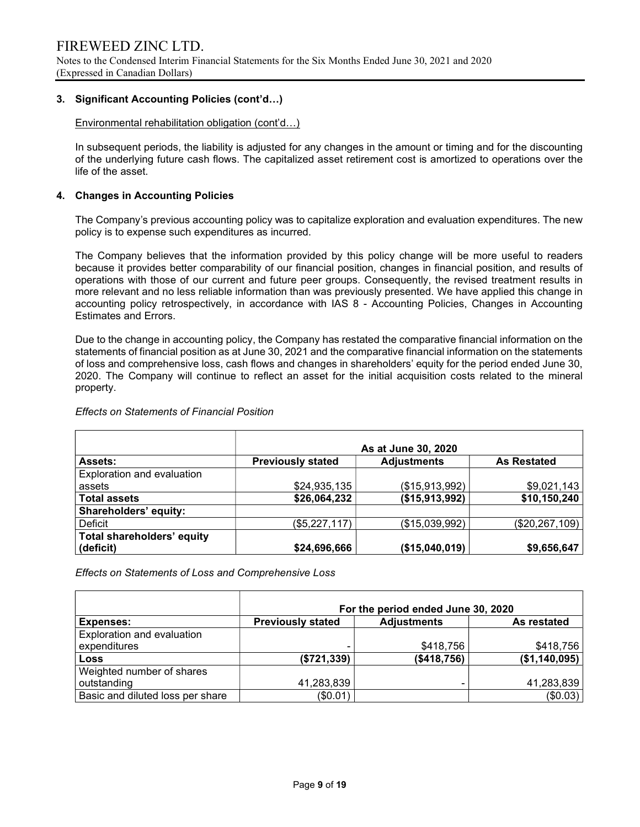### 3. Significant Accounting Policies (cont'd…)

Environmental rehabilitation obligation (cont'd…)

In subsequent periods, the liability is adjusted for any changes in the amount or timing and for the discounting of the underlying future cash flows. The capitalized asset retirement cost is amortized to operations over the life of the asset.

### 4. Changes in Accounting Policies

The Company's previous accounting policy was to capitalize exploration and evaluation expenditures. The new policy is to expense such expenditures as incurred.

The Company believes that the information provided by this policy change will be more useful to readers because it provides better comparability of our financial position, changes in financial position, and results of operations with those of our current and future peer groups. Consequently, the revised treatment results in more relevant and no less reliable information than was previously presented. We have applied this change in accounting policy retrospectively, in accordance with IAS 8 - Accounting Policies, Changes in Accounting Estimates and Errors.

Due to the change in accounting policy, the Company has restated the comparative financial information on the statements of financial position as at June 30, 2021 and the comparative financial information on the statements of loss and comprehensive loss, cash flows and changes in shareholders' equity for the period ended June 30, 2020. The Company will continue to reflect an asset for the initial acquisition costs related to the mineral property.

#### Effects on Statements of Financial Position

|                                   | As at June 30, 2020      |                    |                    |  |  |  |  |  |  |
|-----------------------------------|--------------------------|--------------------|--------------------|--|--|--|--|--|--|
| <b>Assets:</b>                    | <b>Previously stated</b> | <b>Adjustments</b> | <b>As Restated</b> |  |  |  |  |  |  |
| Exploration and evaluation        |                          |                    |                    |  |  |  |  |  |  |
| assets                            | \$24,935,135             | (\$15,913,992)     | \$9,021,143        |  |  |  |  |  |  |
| <b>Total assets</b>               | \$26,064,232             | (\$15,913,992)     | \$10,150,240       |  |  |  |  |  |  |
| Shareholders' equity:             |                          |                    |                    |  |  |  |  |  |  |
| Deficit                           | (\$5,227,117)            | (\$15,039,992)     | (\$20, 267, 109)   |  |  |  |  |  |  |
| <b>Total shareholders' equity</b> |                          |                    |                    |  |  |  |  |  |  |
| (deficit)                         | \$24,696,666             | (\$15,040,019)     | \$9,656,647        |  |  |  |  |  |  |

Effects on Statements of Loss and Comprehensive Loss

|                                  | For the period ended June 30, 2020 |                    |               |  |  |  |  |  |  |  |
|----------------------------------|------------------------------------|--------------------|---------------|--|--|--|--|--|--|--|
| <b>Expenses:</b>                 | <b>Previously stated</b>           | <b>Adjustments</b> | As restated   |  |  |  |  |  |  |  |
| Exploration and evaluation       |                                    |                    |               |  |  |  |  |  |  |  |
| expenditures                     |                                    | \$418,756          | \$418,756     |  |  |  |  |  |  |  |
| <b>Loss</b>                      | (\$721,339)                        | (\$418,756)        | (\$1,140,095) |  |  |  |  |  |  |  |
| Weighted number of shares        |                                    |                    |               |  |  |  |  |  |  |  |
| outstanding                      | 41,283,839                         |                    | 41,283,839    |  |  |  |  |  |  |  |
| Basic and diluted loss per share | (\$0.01)                           |                    | (\$0.03)      |  |  |  |  |  |  |  |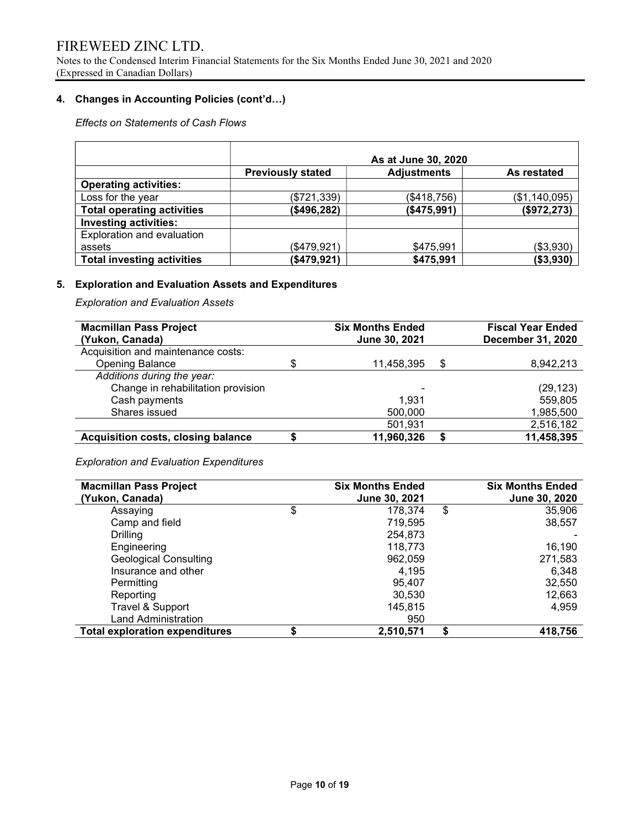Notes to the Condensed Interim Financial Statements for the Six Months Ended June 30, 2021 and 2020 (Expressed in Canadian Dollars)

# 4. Changes in Accounting Policies (cont'd…)

# Effects on Statements of Cash Flows

|                                   | As at June 30, 2020      |             |               |  |  |  |  |  |  |
|-----------------------------------|--------------------------|-------------|---------------|--|--|--|--|--|--|
|                                   | <b>Previously stated</b> | As restated |               |  |  |  |  |  |  |
| <b>Operating activities:</b>      |                          |             |               |  |  |  |  |  |  |
| Loss for the year                 | (\$721,339)              | (\$418,756) | (\$1,140,095) |  |  |  |  |  |  |
| <b>Total operating activities</b> | (\$496,282)              | (\$475,991) | (\$972, 273)  |  |  |  |  |  |  |
| <b>Investing activities:</b>      |                          |             |               |  |  |  |  |  |  |
| Exploration and evaluation        |                          |             |               |  |  |  |  |  |  |
| assets                            | (\$479,921)              | \$475,991   | (\$3,930)     |  |  |  |  |  |  |
| <b>Total investing activities</b> | (\$479,921)              | \$475,991   | ( \$3, 930)   |  |  |  |  |  |  |

# 5. Exploration and Evaluation Assets and Expenditures

Exploration and Evaluation Assets

| <b>Macmillan Pass Project</b><br>(Yukon, Canada) | <b>Six Months Ended</b><br>June 30, 2021 |    | <b>Fiscal Year Ended</b><br><b>December 31, 2020</b> |
|--------------------------------------------------|------------------------------------------|----|------------------------------------------------------|
| Acquisition and maintenance costs:               |                                          |    |                                                      |
| <b>Opening Balance</b>                           | 11,458,395                               | S  | 8.942.213                                            |
| Additions during the year:                       |                                          |    |                                                      |
| Change in rehabilitation provision               |                                          |    | (29, 123)                                            |
| Cash payments                                    | 1.931                                    |    | 559,805                                              |
| Shares issued                                    | 500,000                                  |    | 1,985,500                                            |
|                                                  | 501,931                                  |    | 2,516,182                                            |
| <b>Acquisition costs, closing balance</b>        | 11,960,326                               | \$ | 11,458,395                                           |

# Exploration and Evaluation Expenditures

| <b>Macmillan Pass Project</b><br>(Yukon, Canada) | <b>Six Months Ended</b><br>June 30, 2021 |    | <b>Six Months Ended</b><br>June 30, 2020 |
|--------------------------------------------------|------------------------------------------|----|------------------------------------------|
| Assaying                                         | \$<br>178,374                            | \$ | 35,906                                   |
| Camp and field                                   | 719,595                                  |    | 38,557                                   |
| Drilling                                         | 254,873                                  |    |                                          |
| Engineering                                      | 118,773                                  |    | 16,190                                   |
| <b>Geological Consulting</b>                     | 962,059                                  |    | 271,583                                  |
| Insurance and other                              | 4,195                                    |    | 6,348                                    |
| Permitting                                       | 95,407                                   |    | 32,550                                   |
| Reporting                                        | 30,530                                   |    | 12,663                                   |
| Travel & Support                                 | 145,815                                  |    | 4,959                                    |
| Land Administration                              | 950                                      |    |                                          |
| <b>Total exploration expenditures</b>            | 2,510,571                                | S  | 418,756                                  |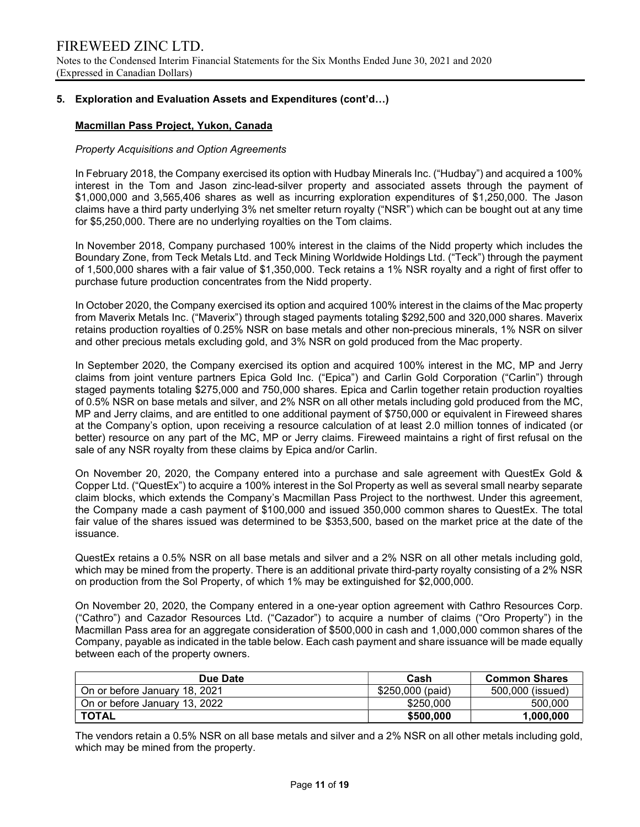# 5. Exploration and Evaluation Assets and Expenditures (cont'd…)

# Macmillan Pass Project, Yukon, Canada

#### Property Acquisitions and Option Agreements

In February 2018, the Company exercised its option with Hudbay Minerals Inc. ("Hudbay") and acquired a 100% interest in the Tom and Jason zinc-lead-silver property and associated assets through the payment of \$1,000,000 and 3,565,406 shares as well as incurring exploration expenditures of \$1,250,000. The Jason claims have a third party underlying 3% net smelter return royalty ("NSR") which can be bought out at any time for \$5,250,000. There are no underlying royalties on the Tom claims.

In November 2018, Company purchased 100% interest in the claims of the Nidd property which includes the Boundary Zone, from Teck Metals Ltd. and Teck Mining Worldwide Holdings Ltd. ("Teck") through the payment of 1,500,000 shares with a fair value of \$1,350,000. Teck retains a 1% NSR royalty and a right of first offer to purchase future production concentrates from the Nidd property.

In October 2020, the Company exercised its option and acquired 100% interest in the claims of the Mac property from Maverix Metals Inc. ("Maverix") through staged payments totaling \$292,500 and 320,000 shares. Maverix retains production royalties of 0.25% NSR on base metals and other non-precious minerals, 1% NSR on silver and other precious metals excluding gold, and 3% NSR on gold produced from the Mac property.

In September 2020, the Company exercised its option and acquired 100% interest in the MC, MP and Jerry claims from joint venture partners Epica Gold Inc. ("Epica") and Carlin Gold Corporation ("Carlin") through staged payments totaling \$275,000 and 750,000 shares. Epica and Carlin together retain production royalties of 0.5% NSR on base metals and silver, and 2% NSR on all other metals including gold produced from the MC, MP and Jerry claims, and are entitled to one additional payment of \$750,000 or equivalent in Fireweed shares at the Company's option, upon receiving a resource calculation of at least 2.0 million tonnes of indicated (or better) resource on any part of the MC, MP or Jerry claims. Fireweed maintains a right of first refusal on the sale of any NSR royalty from these claims by Epica and/or Carlin.

On November 20, 2020, the Company entered into a purchase and sale agreement with QuestEx Gold & Copper Ltd. ("QuestEx") to acquire a 100% interest in the Sol Property as well as several small nearby separate claim blocks, which extends the Company's Macmillan Pass Project to the northwest. Under this agreement, the Company made a cash payment of \$100,000 and issued 350,000 common shares to QuestEx. The total fair value of the shares issued was determined to be \$353,500, based on the market price at the date of the issuance.

QuestEx retains a 0.5% NSR on all base metals and silver and a 2% NSR on all other metals including gold, which may be mined from the property. There is an additional private third-party royalty consisting of a 2% NSR on production from the Sol Property, of which 1% may be extinguished for \$2,000,000.

On November 20, 2020, the Company entered in a one-year option agreement with Cathro Resources Corp. ("Cathro") and Cazador Resources Ltd. ("Cazador") to acquire a number of claims ("Oro Property") in the Macmillan Pass area for an aggregate consideration of \$500,000 in cash and 1,000,000 common shares of the Company, payable as indicated in the table below. Each cash payment and share issuance will be made equally between each of the property owners.

| Due Date                      | Cash             | <b>Common Shares</b> |
|-------------------------------|------------------|----------------------|
| On or before January 18, 2021 | \$250,000 (paid) | 500,000 (issued)     |
| On or before January 13, 2022 | \$250,000        | 500,000              |
| <b>TOTAL</b>                  | \$500,000        | 1,000,000            |

The vendors retain a 0.5% NSR on all base metals and silver and a 2% NSR on all other metals including gold, which may be mined from the property.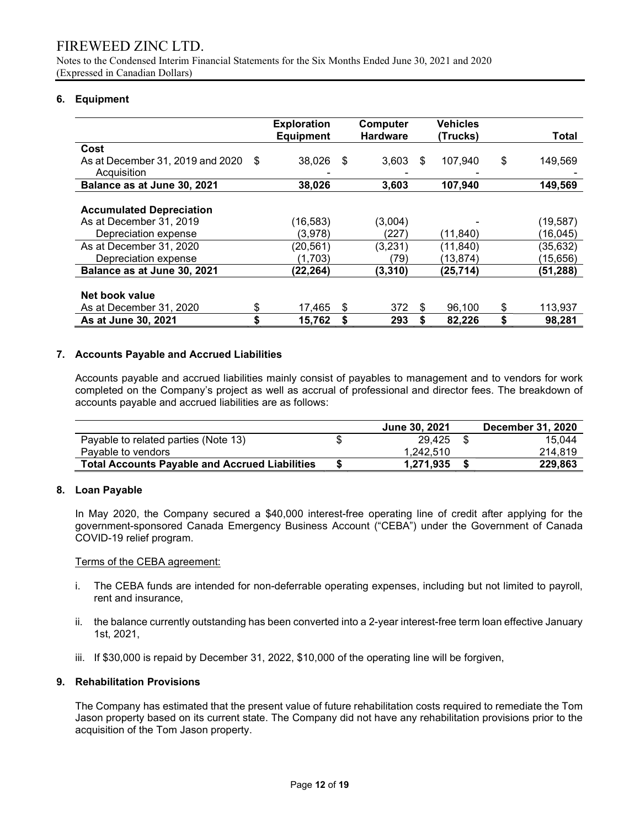Notes to the Condensed Interim Financial Statements for the Six Months Ended June 30, 2021 and 2020 (Expressed in Canadian Dollars)

# 6. Equipment

|                                  |      | <b>Exploration</b> |    | Computer        |    | <b>Vehicles</b> |               |
|----------------------------------|------|--------------------|----|-----------------|----|-----------------|---------------|
|                                  |      | <b>Equipment</b>   |    | <b>Hardware</b> |    | (Trucks)        | Total         |
| Cost                             |      |                    |    |                 |    |                 |               |
| As at December 31, 2019 and 2020 | - \$ | 38,026             | -S | 3,603           | S  | 107,940         | \$<br>149,569 |
| Acquisition                      |      |                    |    |                 |    |                 |               |
| Balance as at June 30, 2021      |      | 38,026             |    | 3,603           |    | 107,940         | 149,569       |
|                                  |      |                    |    |                 |    |                 |               |
| <b>Accumulated Depreciation</b>  |      |                    |    |                 |    |                 |               |
| As at December 31, 2019          |      | (16,583)           |    | (3,004)         |    |                 | (19, 587)     |
| Depreciation expense             |      | (3,978)            |    | (227)           |    | (11, 840)       | (16,045)      |
| As at December 31, 2020          |      | (20, 561)          |    | (3,231)         |    | (11, 840)       | (35, 632)     |
| Depreciation expense             |      | (1,703)            |    | (79)            |    | (13,874)        | (15,656)      |
| Balance as at June 30, 2021      |      | (22, 264)          |    | (3, 310)        |    | (25, 714)       | (51,288)      |
|                                  |      |                    |    |                 |    |                 |               |
| Net book value                   |      |                    |    |                 |    |                 |               |
| As at December 31, 2020          | \$   | 17,465             | S  | 372             | S  | 96,100          | \$<br>113,937 |
| As at June 30, 2021              | \$   | 15,762             | \$ | 293             | \$ | 82,226          | \$<br>98,281  |

### 7. Accounts Payable and Accrued Liabilities

 Accounts payable and accrued liabilities mainly consist of payables to management and to vendors for work completed on the Company's project as well as accrual of professional and director fees. The breakdown of accounts payable and accrued liabilities are as follows:

|                                                       | June 30, 2021 | <b>December 31, 2020</b> |
|-------------------------------------------------------|---------------|--------------------------|
| Payable to related parties (Note 13)                  | 29.425        | 15.044                   |
| Pavable to vendors                                    | 1.242.510     | 214.819                  |
| <b>Total Accounts Payable and Accrued Liabilities</b> | 1.271.935     | 229,863                  |

### 8. Loan Payable

In May 2020, the Company secured a \$40,000 interest-free operating line of credit after applying for the government-sponsored Canada Emergency Business Account ("CEBA") under the Government of Canada COVID-19 relief program.

### Terms of the CEBA agreement:

- i. The CEBA funds are intended for non-deferrable operating expenses, including but not limited to payroll, rent and insurance,
- ii. the balance currently outstanding has been converted into a 2-year interest-free term loan effective January 1st, 2021,
- iii. If \$30,000 is repaid by December 31, 2022, \$10,000 of the operating line will be forgiven,

# 9. Rehabilitation Provisions

The Company has estimated that the present value of future rehabilitation costs required to remediate the Tom Jason property based on its current state. The Company did not have any rehabilitation provisions prior to the acquisition of the Tom Jason property.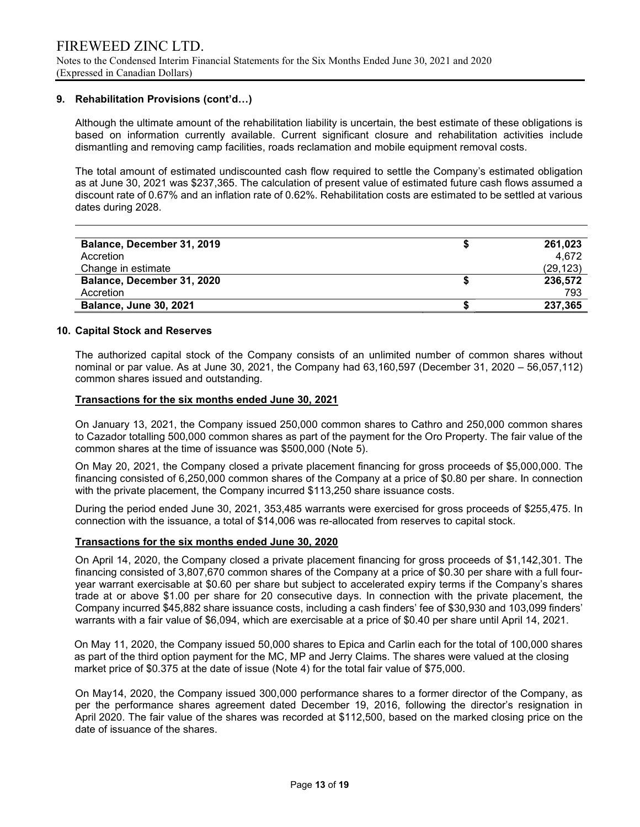#### 9. Rehabilitation Provisions (cont'd…)

Although the ultimate amount of the rehabilitation liability is uncertain, the best estimate of these obligations is based on information currently available. Current significant closure and rehabilitation activities include dismantling and removing camp facilities, roads reclamation and mobile equipment removal costs.

The total amount of estimated undiscounted cash flow required to settle the Company's estimated obligation as at June 30, 2021 was \$237,365. The calculation of present value of estimated future cash flows assumed a discount rate of 0.67% and an inflation rate of 0.62%. Rehabilitation costs are estimated to be settled at various dates during 2028.

| Balance, December 31, 2019    | 261,023   |
|-------------------------------|-----------|
| Accretion                     | 4.672     |
| Change in estimate            | (29, 123) |
| Balance, December 31, 2020    | 236,572   |
| Accretion                     | 793       |
| <b>Balance, June 30, 2021</b> | 237,365   |

#### 10. Capital Stock and Reserves

The authorized capital stock of the Company consists of an unlimited number of common shares without nominal or par value. As at June 30, 2021, the Company had 63,160,597 (December 31, 2020 – 56,057,112) common shares issued and outstanding.

#### Transactions for the six months ended June 30, 2021

On January 13, 2021, the Company issued 250,000 common shares to Cathro and 250,000 common shares to Cazador totalling 500,000 common shares as part of the payment for the Oro Property. The fair value of the common shares at the time of issuance was \$500,000 (Note 5).

On May 20, 2021, the Company closed a private placement financing for gross proceeds of \$5,000,000. The financing consisted of 6,250,000 common shares of the Company at a price of \$0.80 per share. In connection with the private placement, the Company incurred \$113,250 share issuance costs.

During the period ended June 30, 2021, 353,485 warrants were exercised for gross proceeds of \$255,475. In connection with the issuance, a total of \$14,006 was re-allocated from reserves to capital stock.

#### Transactions for the six months ended June 30, 2020

On April 14, 2020, the Company closed a private placement financing for gross proceeds of \$1,142,301. The financing consisted of 3,807,670 common shares of the Company at a price of \$0.30 per share with a full fouryear warrant exercisable at \$0.60 per share but subject to accelerated expiry terms if the Company's shares trade at or above \$1.00 per share for 20 consecutive days. In connection with the private placement, the Company incurred \$45,882 share issuance costs, including a cash finders' fee of \$30,930 and 103,099 finders' warrants with a fair value of \$6,094, which are exercisable at a price of \$0.40 per share until April 14, 2021.

 On May 11, 2020, the Company issued 50,000 shares to Epica and Carlin each for the total of 100,000 shares as part of the third option payment for the MC, MP and Jerry Claims. The shares were valued at the closing market price of \$0.375 at the date of issue (Note 4) for the total fair value of \$75,000.

On May14, 2020, the Company issued 300,000 performance shares to a former director of the Company, as per the performance shares agreement dated December 19, 2016, following the director's resignation in April 2020. The fair value of the shares was recorded at \$112,500, based on the marked closing price on the date of issuance of the shares.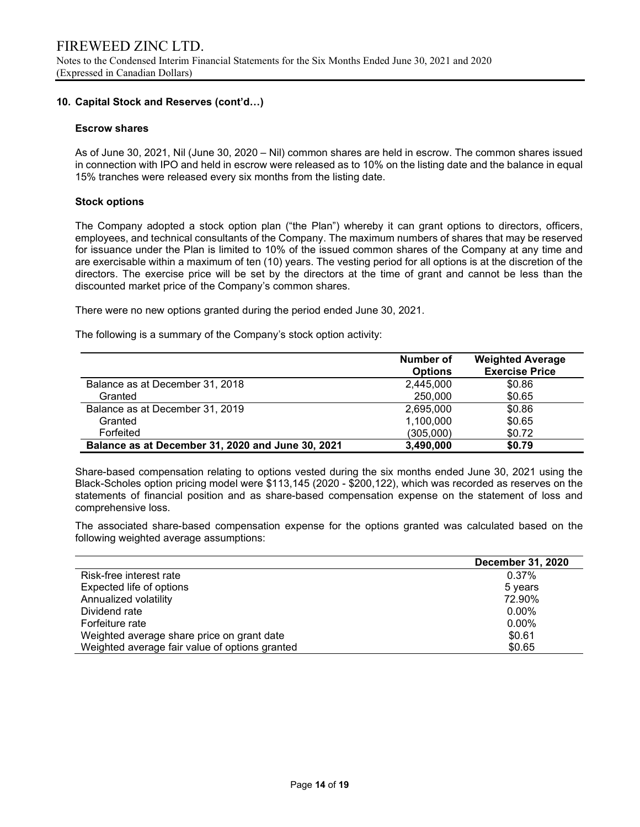# 10. Capital Stock and Reserves (cont'd…)

#### Escrow shares

As of June 30, 2021, Nil (June 30, 2020 – Nil) common shares are held in escrow. The common shares issued in connection with IPO and held in escrow were released as to 10% on the listing date and the balance in equal 15% tranches were released every six months from the listing date.

#### Stock options

The Company adopted a stock option plan ("the Plan") whereby it can grant options to directors, officers, employees, and technical consultants of the Company. The maximum numbers of shares that may be reserved for issuance under the Plan is limited to 10% of the issued common shares of the Company at any time and are exercisable within a maximum of ten (10) years. The vesting period for all options is at the discretion of the directors. The exercise price will be set by the directors at the time of grant and cannot be less than the discounted market price of the Company's common shares.

There were no new options granted during the period ended June 30, 2021.

The following is a summary of the Company's stock option activity:

|                                                   | Number of<br><b>Options</b> | <b>Weighted Average</b><br><b>Exercise Price</b> |
|---------------------------------------------------|-----------------------------|--------------------------------------------------|
| Balance as at December 31, 2018                   | 2,445,000                   | \$0.86                                           |
| Granted                                           | 250,000                     | \$0.65                                           |
| Balance as at December 31, 2019                   | 2,695,000                   | \$0.86                                           |
| Granted                                           | 1,100,000                   | \$0.65                                           |
| Forfeited                                         | (305,000)                   | \$0.72                                           |
| Balance as at December 31, 2020 and June 30, 2021 | 3,490,000                   | \$0.79                                           |

Share-based compensation relating to options vested during the six months ended June 30, 2021 using the Black-Scholes option pricing model were \$113,145 (2020 - \$200,122), which was recorded as reserves on the statements of financial position and as share-based compensation expense on the statement of loss and comprehensive loss.

The associated share-based compensation expense for the options granted was calculated based on the following weighted average assumptions:

|                                                | <b>December 31, 2020</b> |
|------------------------------------------------|--------------------------|
| Risk-free interest rate                        | 0.37%                    |
| Expected life of options                       | 5 years                  |
| Annualized volatility                          | 72.90%                   |
| Dividend rate                                  | $0.00\%$                 |
| Forfeiture rate                                | $0.00\%$                 |
| Weighted average share price on grant date     | \$0.61                   |
| Weighted average fair value of options granted | \$0.65                   |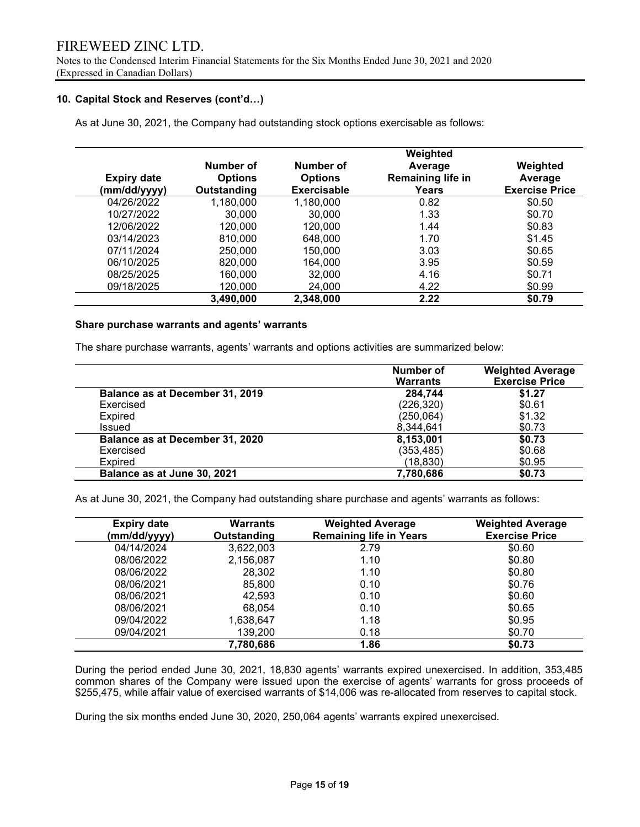Notes to the Condensed Interim Financial Statements for the Six Months Ended June 30, 2021 and 2020 (Expressed in Canadian Dollars)

### 10. Capital Stock and Reserves (cont'd…)

As at June 30, 2021, the Company had outstanding stock options exercisable as follows:

|                    |                |                    | Weighted          |                       |
|--------------------|----------------|--------------------|-------------------|-----------------------|
|                    | Number of      | Number of          | Average           | Weighted              |
| <b>Expiry date</b> | <b>Options</b> | <b>Options</b>     | Remaining life in | Average               |
| (mm/dd/yyyy)       | Outstanding    | <b>Exercisable</b> | Years             | <b>Exercise Price</b> |
| 04/26/2022         | 1,180,000      | 1,180,000          | 0.82              | \$0.50                |
| 10/27/2022         | 30,000         | 30,000             | 1.33              | \$0.70                |
| 12/06/2022         | 120,000        | 120,000            | 1.44              | \$0.83                |
| 03/14/2023         | 810,000        | 648,000            | 1.70              | \$1.45                |
| 07/11/2024         | 250,000        | 150,000            | 3.03              | \$0.65                |
| 06/10/2025         | 820,000        | 164.000            | 3.95              | \$0.59                |
| 08/25/2025         | 160,000        | 32,000             | 4.16              | \$0.71                |
| 09/18/2025         | 120,000        | 24,000             | 4.22              | \$0.99                |
|                    | 3,490,000      | 2,348,000          | 2.22              | \$0.79                |

#### Share purchase warrants and agents' warrants

The share purchase warrants, agents' warrants and options activities are summarized below:

|                                 | Number of<br><b>Warrants</b> | <b>Weighted Average</b><br><b>Exercise Price</b> |
|---------------------------------|------------------------------|--------------------------------------------------|
| Balance as at December 31, 2019 | 284,744                      | \$1.27                                           |
| Exercised                       | (226, 320)                   | \$0.61                                           |
| Expired                         | (250, 064)                   | \$1.32                                           |
| Issued                          | 8,344,641                    | \$0.73                                           |
| Balance as at December 31, 2020 | 8,153,001                    | \$0.73                                           |
| Exercised                       | (353, 485)                   | \$0.68                                           |
| <b>Expired</b>                  | (18, 830)                    | \$0.95                                           |
| Balance as at June 30, 2021     | 7,780,686                    | \$0.73                                           |

As at June 30, 2021, the Company had outstanding share purchase and agents' warrants as follows:

| <b>Expiry date</b><br>(mm/dd/yyyy) | Warrants<br>Outstanding | <b>Weighted Average</b><br><b>Remaining life in Years</b> | <b>Weighted Average</b><br><b>Exercise Price</b> |
|------------------------------------|-------------------------|-----------------------------------------------------------|--------------------------------------------------|
| 04/14/2024                         | 3,622,003               | 2.79                                                      | \$0.60                                           |
| 08/06/2022                         | 2,156,087               | 1.10                                                      | \$0.80                                           |
| 08/06/2022                         | 28,302                  | 1.10                                                      | \$0.80                                           |
| 08/06/2021                         | 85,800                  | 0.10                                                      | \$0.76                                           |
| 08/06/2021                         | 42,593                  | 0.10                                                      | \$0.60                                           |
| 08/06/2021                         | 68.054                  | 0.10                                                      | \$0.65                                           |
| 09/04/2022                         | 1,638,647               | 1.18                                                      | \$0.95                                           |
| 09/04/2021                         | 139,200                 | 0.18                                                      | \$0.70                                           |
|                                    | 7,780,686               | 1.86                                                      | \$0.73                                           |

During the period ended June 30, 2021, 18,830 agents' warrants expired unexercised. In addition, 353,485 common shares of the Company were issued upon the exercise of agents' warrants for gross proceeds of \$255,475, while affair value of exercised warrants of \$14,006 was re-allocated from reserves to capital stock.

During the six months ended June 30, 2020, 250,064 agents' warrants expired unexercised.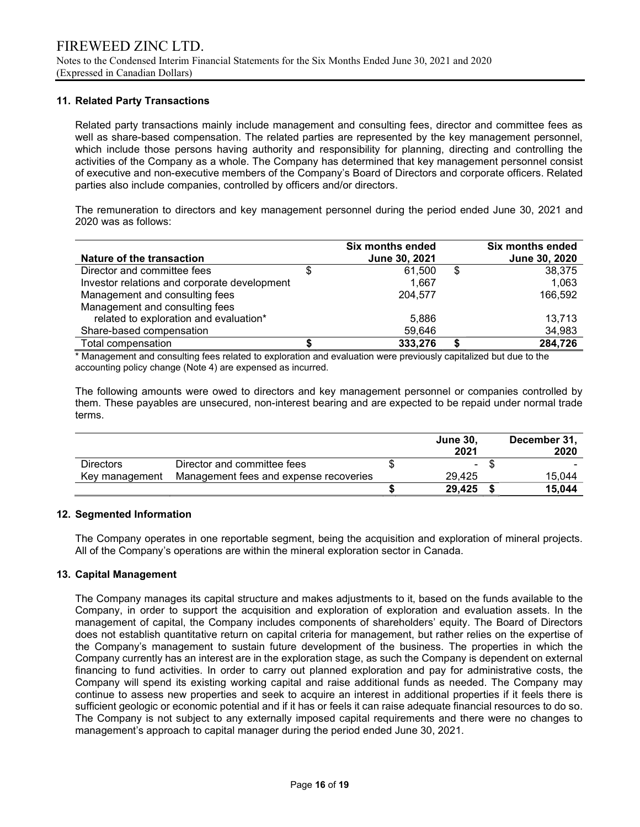### 11. Related Party Transactions

Related party transactions mainly include management and consulting fees, director and committee fees as well as share-based compensation. The related parties are represented by the key management personnel, which include those persons having authority and responsibility for planning, directing and controlling the activities of the Company as a whole. The Company has determined that key management personnel consist of executive and non-executive members of the Company's Board of Directors and corporate officers. Related parties also include companies, controlled by officers and/or directors.

The remuneration to directors and key management personnel during the period ended June 30, 2021 and 2020 was as follows:

| Nature of the transaction                    | Six months ended<br>June 30, 2021 | <b>Six months ended</b><br>June 30, 2020 |
|----------------------------------------------|-----------------------------------|------------------------------------------|
| Director and committee fees                  | 61,500                            | \$<br>38,375                             |
| Investor relations and corporate development | 1.667                             | 1,063                                    |
| Management and consulting fees               | 204.577                           | 166,592                                  |
| Management and consulting fees               |                                   |                                          |
| related to exploration and evaluation*       | 5,886                             | 13,713                                   |
| Share-based compensation                     | 59,646                            | 34,983                                   |
| Total compensation                           | 333,276                           | 284,726                                  |

\* Management and consulting fees related to exploration and evaluation were previously capitalized but due to the accounting policy change (Note 4) are expensed as incurred.

The following amounts were owed to directors and key management personnel or companies controlled by them. These payables are unsecured, non-interest bearing and are expected to be repaid under normal trade terms.

|                  |                                        | <b>June 30.</b><br>2021 | December 31,<br>2020 |
|------------------|----------------------------------------|-------------------------|----------------------|
| <b>Directors</b> | Director and committee fees            | $\sim$                  |                      |
| Key management   | Management fees and expense recoveries | 29.425                  | 15.044               |
|                  |                                        | 29,425                  | 15.044               |

### 12. Segmented Information

 The Company operates in one reportable segment, being the acquisition and exploration of mineral projects. All of the Company's operations are within the mineral exploration sector in Canada.

### 13. Capital Management

The Company manages its capital structure and makes adjustments to it, based on the funds available to the Company, in order to support the acquisition and exploration of exploration and evaluation assets. In the management of capital, the Company includes components of shareholders' equity. The Board of Directors does not establish quantitative return on capital criteria for management, but rather relies on the expertise of the Company's management to sustain future development of the business. The properties in which the Company currently has an interest are in the exploration stage, as such the Company is dependent on external financing to fund activities. In order to carry out planned exploration and pay for administrative costs, the Company will spend its existing working capital and raise additional funds as needed. The Company may continue to assess new properties and seek to acquire an interest in additional properties if it feels there is sufficient geologic or economic potential and if it has or feels it can raise adequate financial resources to do so. The Company is not subject to any externally imposed capital requirements and there were no changes to management's approach to capital manager during the period ended June 30, 2021.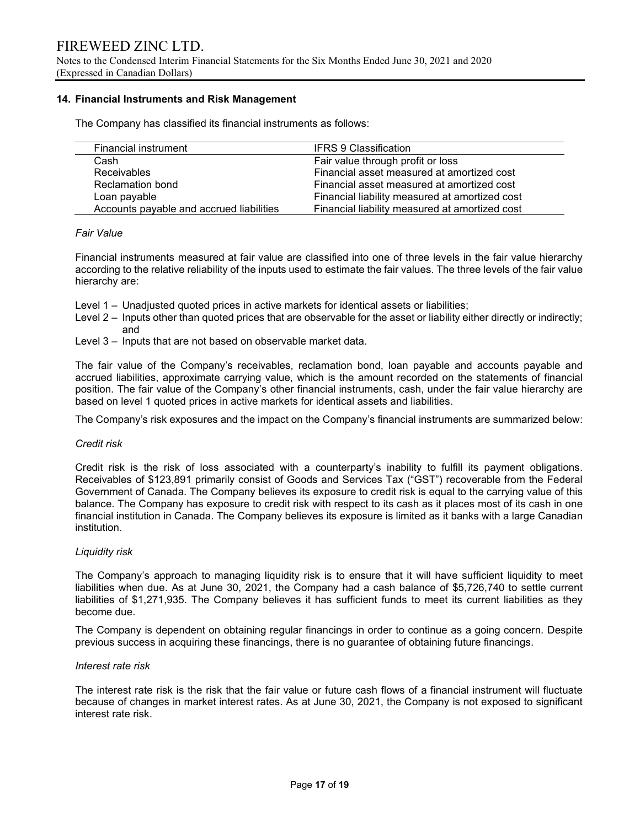Notes to the Condensed Interim Financial Statements for the Six Months Ended June 30, 2021 and 2020 (Expressed in Canadian Dollars)

### 14. Financial Instruments and Risk Management

The Company has classified its financial instruments as follows:

| <b>Financial instrument</b>              | <b>IFRS 9 Classification</b>                   |
|------------------------------------------|------------------------------------------------|
| Cash                                     | Fair value through profit or loss              |
| <b>Receivables</b>                       | Financial asset measured at amortized cost     |
| Reclamation bond                         | Financial asset measured at amortized cost     |
| Loan payable                             | Financial liability measured at amortized cost |
| Accounts payable and accrued liabilities | Financial liability measured at amortized cost |

#### Fair Value

Financial instruments measured at fair value are classified into one of three levels in the fair value hierarchy according to the relative reliability of the inputs used to estimate the fair values. The three levels of the fair value hierarchy are:

- Level 1 Unadjusted quoted prices in active markets for identical assets or liabilities;
- Level 2 Inputs other than quoted prices that are observable for the asset or liability either directly or indirectly; and
- Level 3 Inputs that are not based on observable market data.

The fair value of the Company's receivables, reclamation bond, loan payable and accounts payable and accrued liabilities, approximate carrying value, which is the amount recorded on the statements of financial position. The fair value of the Company's other financial instruments, cash, under the fair value hierarchy are based on level 1 quoted prices in active markets for identical assets and liabilities.

The Company's risk exposures and the impact on the Company's financial instruments are summarized below:

### Credit risk

Credit risk is the risk of loss associated with a counterparty's inability to fulfill its payment obligations. Receivables of \$123,891 primarily consist of Goods and Services Tax ("GST") recoverable from the Federal Government of Canada. The Company believes its exposure to credit risk is equal to the carrying value of this balance. The Company has exposure to credit risk with respect to its cash as it places most of its cash in one financial institution in Canada. The Company believes its exposure is limited as it banks with a large Canadian institution.

#### Liquidity risk

The Company's approach to managing liquidity risk is to ensure that it will have sufficient liquidity to meet liabilities when due. As at June 30, 2021, the Company had a cash balance of \$5,726,740 to settle current liabilities of \$1,271,935. The Company believes it has sufficient funds to meet its current liabilities as they become due.

The Company is dependent on obtaining regular financings in order to continue as a going concern. Despite previous success in acquiring these financings, there is no guarantee of obtaining future financings.

# Interest rate risk

The interest rate risk is the risk that the fair value or future cash flows of a financial instrument will fluctuate because of changes in market interest rates. As at June 30, 2021, the Company is not exposed to significant interest rate risk.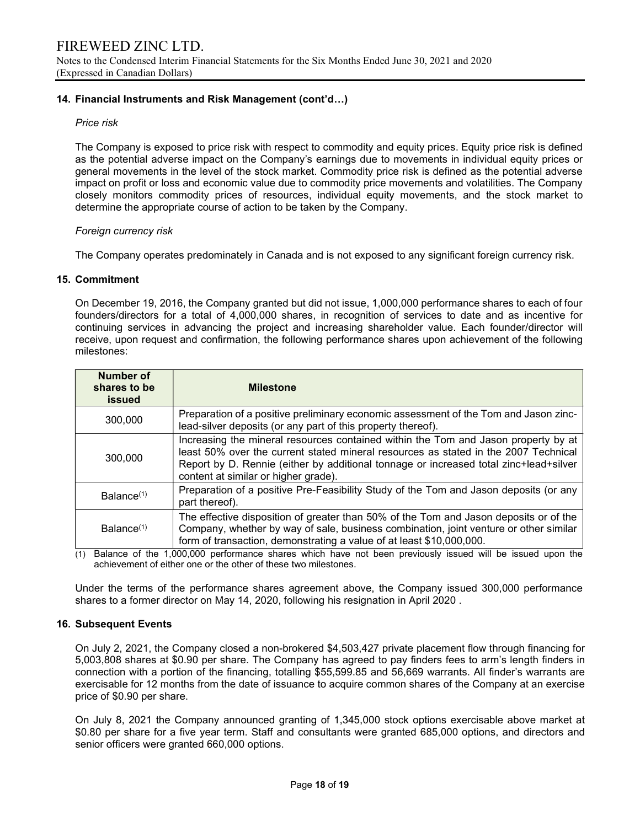### 14. Financial Instruments and Risk Management (cont'd…)

### Price risk

The Company is exposed to price risk with respect to commodity and equity prices. Equity price risk is defined as the potential adverse impact on the Company's earnings due to movements in individual equity prices or general movements in the level of the stock market. Commodity price risk is defined as the potential adverse impact on profit or loss and economic value due to commodity price movements and volatilities. The Company closely monitors commodity prices of resources, individual equity movements, and the stock market to determine the appropriate course of action to be taken by the Company.

### Foreign currency risk

The Company operates predominately in Canada and is not exposed to any significant foreign currency risk.

#### 15. Commitment

On December 19, 2016, the Company granted but did not issue, 1,000,000 performance shares to each of four founders/directors for a total of 4,000,000 shares, in recognition of services to date and as incentive for continuing services in advancing the project and increasing shareholder value. Each founder/director will receive, upon request and confirmation, the following performance shares upon achievement of the following milestones:

| Number of<br>shares to be<br>issued | <b>Milestone</b>                                                                                                                                                                                                                                                                                           |
|-------------------------------------|------------------------------------------------------------------------------------------------------------------------------------------------------------------------------------------------------------------------------------------------------------------------------------------------------------|
| 300,000                             | Preparation of a positive preliminary economic assessment of the Tom and Jason zinc-<br>lead-silver deposits (or any part of this property thereof).                                                                                                                                                       |
| 300,000                             | Increasing the mineral resources contained within the Tom and Jason property by at<br>least 50% over the current stated mineral resources as stated in the 2007 Technical<br>Report by D. Rennie (either by additional tonnage or increased total zinc+lead+silver<br>content at similar or higher grade). |
| Balance <sup>(1)</sup>              | Preparation of a positive Pre-Feasibility Study of the Tom and Jason deposits (or any<br>part thereof).                                                                                                                                                                                                    |
| Balance <sup>(1)</sup>              | The effective disposition of greater than 50% of the Tom and Jason deposits or of the<br>Company, whether by way of sale, business combination, joint venture or other similar<br>form of transaction, demonstrating a value of at least \$10,000,000.                                                     |

(1) Balance of the 1,000,000 performance shares which have not been previously issued will be issued upon the achievement of either one or the other of these two milestones.

Under the terms of the performance shares agreement above, the Company issued 300,000 performance shares to a former director on May 14, 2020, following his resignation in April 2020 .

#### 16. Subsequent Events

On July 2, 2021, the Company closed a non-brokered \$4,503,427 private placement flow through financing for 5,003,808 shares at \$0.90 per share. The Company has agreed to pay finders fees to arm's length finders in connection with a portion of the financing, totalling \$55,599.85 and 56,669 warrants. All finder's warrants are exercisable for 12 months from the date of issuance to acquire common shares of the Company at an exercise price of \$0.90 per share.

On July 8, 2021 the Company announced granting of 1,345,000 stock options exercisable above market at \$0.80 per share for a five year term. Staff and consultants were granted 685,000 options, and directors and senior officers were granted 660,000 options.